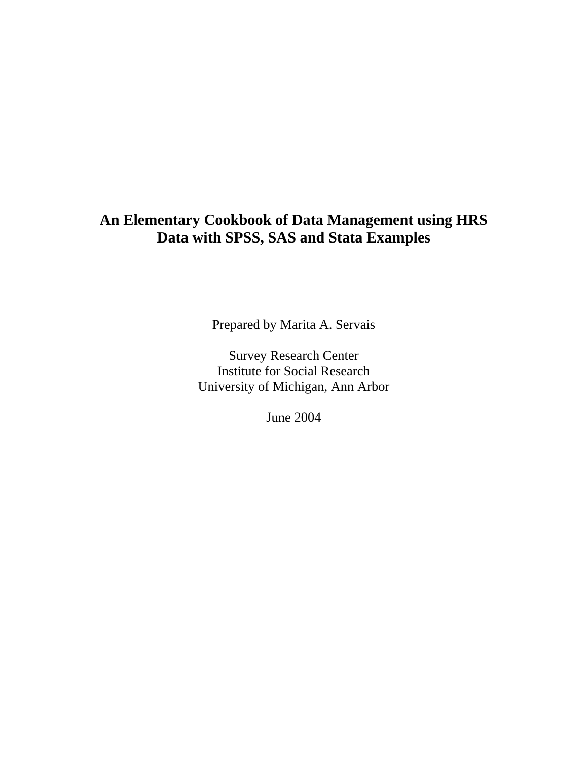# **An Elementary Cookbook of Data Management using HRS Data with SPSS, SAS and Stata Examples**

Prepared by Marita A. Servais

Survey Research Center Institute for Social Research University of Michigan, Ann Arbor

June 2004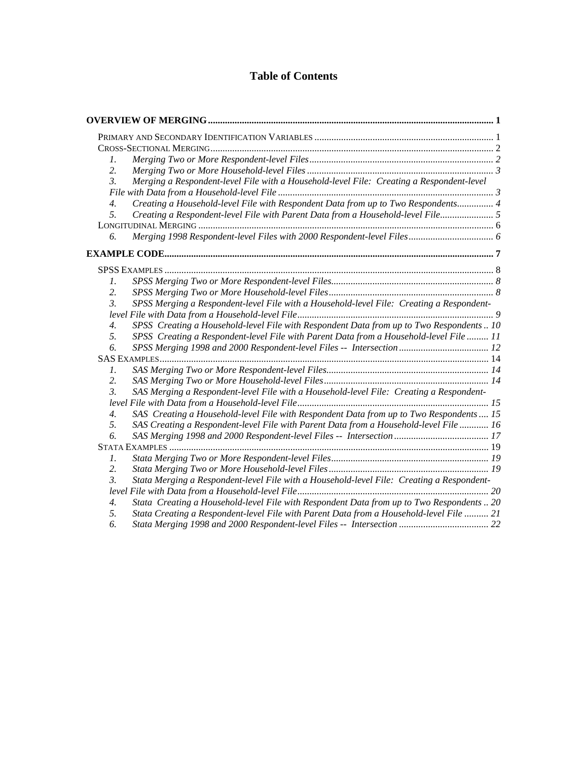#### **Table of Contents**

| 1.               |                                                                                           |  |
|------------------|-------------------------------------------------------------------------------------------|--|
| 2.               |                                                                                           |  |
| $\mathfrak{Z}$ . | Merging a Respondent-level File with a Household-level File: Creating a Respondent-level  |  |
|                  |                                                                                           |  |
| $\overline{4}$ . | Creating a Household-level File with Respondent Data from up to Two Respondents 4         |  |
| 5.               | Creating a Respondent-level File with Parent Data from a Household-level File 5           |  |
|                  |                                                                                           |  |
| 6.               | Merging 1998 Respondent-level Files with 2000 Respondent-level Files 6                    |  |
|                  |                                                                                           |  |
|                  |                                                                                           |  |
| $\mathcal{I}$ .  |                                                                                           |  |
| 2.               |                                                                                           |  |
| $\mathfrak{Z}$ . | SPSS Merging a Respondent-level File with a Household-level File: Creating a Respondent-  |  |
|                  |                                                                                           |  |
| $\overline{4}$ . | SPSS Creating a Household-level File with Respondent Data from up to Two Respondents  10  |  |
| 5.               | SPSS Creating a Respondent-level File with Parent Data from a Household-level File  11    |  |
| 6.               | SPSS Merging 1998 and 2000 Respondent-level Files -- Intersection  12                     |  |
|                  |                                                                                           |  |
| $\mathcal{I}$ .  |                                                                                           |  |
| 2.               |                                                                                           |  |
| $\mathfrak{Z}$ . | SAS Merging a Respondent-level File with a Household-level File: Creating a Respondent-   |  |
|                  |                                                                                           |  |
| $\overline{4}$ . | SAS Creating a Household-level File with Respondent Data from up to Two Respondents  15   |  |
| 5.               | SAS Creating a Respondent-level File with Parent Data from a Household-level File  16     |  |
| 6.               |                                                                                           |  |
|                  |                                                                                           |  |
| $\mathfrak{1}.$  |                                                                                           |  |
| 2.               |                                                                                           |  |
| $\mathfrak{Z}$ . | Stata Merging a Respondent-level File with a Household-level File: Creating a Respondent- |  |
|                  |                                                                                           |  |
| $\overline{4}$ . | Stata Creating a Household-level File with Respondent Data from up to Two Respondents  20 |  |
| 5.               | Stata Creating a Respondent-level File with Parent Data from a Household-level File  21   |  |
| 6.               |                                                                                           |  |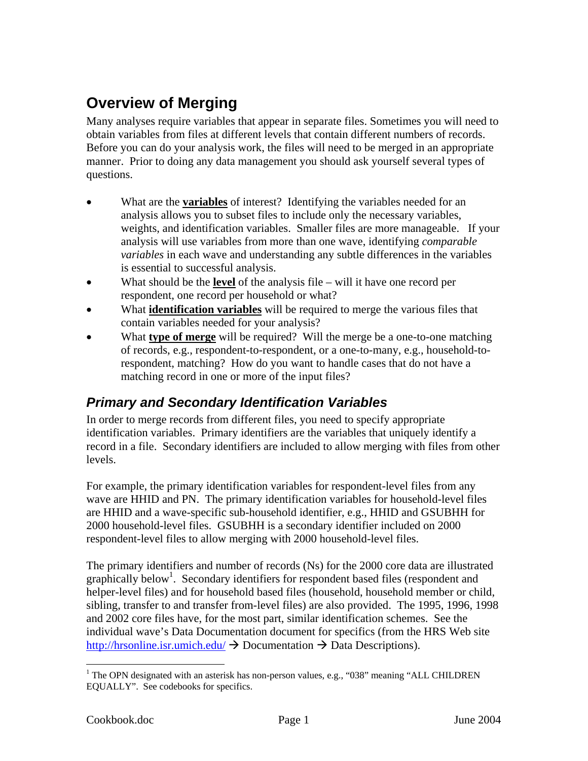# <span id="page-2-0"></span>**Overview of Merging**

Many analyses require variables that appear in separate files. Sometimes you will need to obtain variables from files at different levels that contain different numbers of records. Before you can do your analysis work, the files will need to be merged in an appropriate manner. Prior to doing any data management you should ask yourself several types of questions.

- What are the **variables** of interest? Identifying the variables needed for an analysis allows you to subset files to include only the necessary variables, weights, and identification variables. Smaller files are more manageable. If your analysis will use variables from more than one wave, identifying *comparable variables* in each wave and understanding any subtle differences in the variables is essential to successful analysis.
- What should be the **level** of the analysis file will it have one record per respondent, one record per household or what?
- What **identification variables** will be required to merge the various files that contain variables needed for your analysis?
- What **type of merge** will be required? Will the merge be a one-to-one matching of records, e.g., respondent-to-respondent, or a one-to-many, e.g., household-torespondent, matching? How do you want to handle cases that do not have a matching record in one or more of the input files?

# *Primary and Secondary Identification Variables*

In order to merge records from different files, you need to specify appropriate identification variables. Primary identifiers are the variables that uniquely identify a record in a file. Secondary identifiers are included to allow merging with files from other levels.

For example, the primary identification variables for respondent-level files from any wave are HHID and PN. The primary identification variables for household-level files are HHID and a wave-specific sub-household identifier, e.g., HHID and GSUBHH for 2000 household-level files. GSUBHH is a secondary identifier included on 2000 respondent-level files to allow merging with 2000 household-level files.

The primary identifiers and number of records (Ns) for the 2000 core data are illustrated graphically below<sup>1</sup>. Secondary identifiers for respondent based files (respondent and helper-level files) and for household based files (household, household member or child, sibling, transfer to and transfer from-level files) are also provided. The 1995, 1996, 1998 and 2002 core files have, for the most part, similar identification schemes. See the individual wave's Data Documentation document for specifics (from the HRS Web site <http://hrsonline.isr.umich.edu/>  $\rightarrow$  Documentation  $\rightarrow$  Data Descriptions).

<span id="page-2-1"></span><sup>&</sup>lt;sup>1</sup> The OPN designated with an asterisk has non-person values, e.g., "038" meaning "ALL CHILDREN EQUALLY". See codebooks for specifics.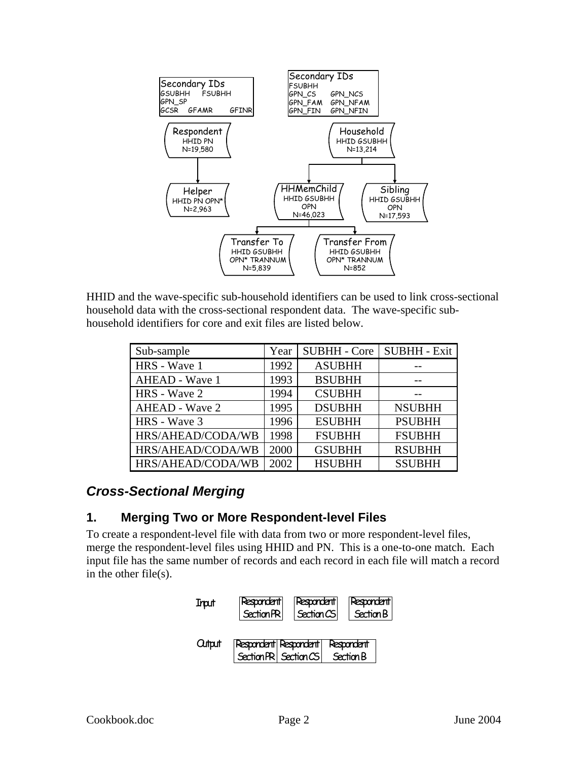<span id="page-3-0"></span>

HHID and the wave-specific sub-household identifiers can be used to link cross-sectional household data with the cross-sectional respondent data. The wave-specific subhousehold identifiers for core and exit files are listed below.

| Sub-sample            | Year | <b>SUBHH - Core</b> | <b>SUBHH - Exit</b> |
|-----------------------|------|---------------------|---------------------|
| HRS - Wave 1          | 1992 | <b>ASUBHH</b>       |                     |
| AHEAD - Wave 1        | 1993 | <b>BSUBHH</b>       |                     |
| <b>HRS</b> - Wave 2   | 1994 | <b>CSUBHH</b>       |                     |
| <b>AHEAD - Wave 2</b> | 1995 | <b>DSUBHH</b>       | <b>NSUBHH</b>       |
| <b>HRS</b> - Wave 3   | 1996 | <b>ESUBHH</b>       | <b>PSUBHH</b>       |
| HRS/AHEAD/CODA/WB     | 1998 | <b>FSUBHH</b>       | <b>FSUBHH</b>       |
| HRS/AHEAD/CODA/WB     | 2000 | <b>GSUBHH</b>       | <b>RSUBHH</b>       |
| HRS/AHEAD/CODA/WB     | 2002 | <b>HSUBHH</b>       | <b>SSUBHH</b>       |

# *Cross-Sectional Merging*

### **1. Merging Two or More Respondent-level Files**

To create a respondent-level file with data from two or more respondent-level files, merge the respondent-level files using HHID and PN. This is a one-to-one match. Each input file has the same number of records and each record in each file will match a record in the other file(s).

| Input   | Respondent<br>Section PR                     | Respondent<br>Section CS | <b>Respondent</b><br>Section B |  |
|---------|----------------------------------------------|--------------------------|--------------------------------|--|
| Cultput | Respondent Respondent<br>SectionPR SectionCS |                          | Respondent<br>Section B        |  |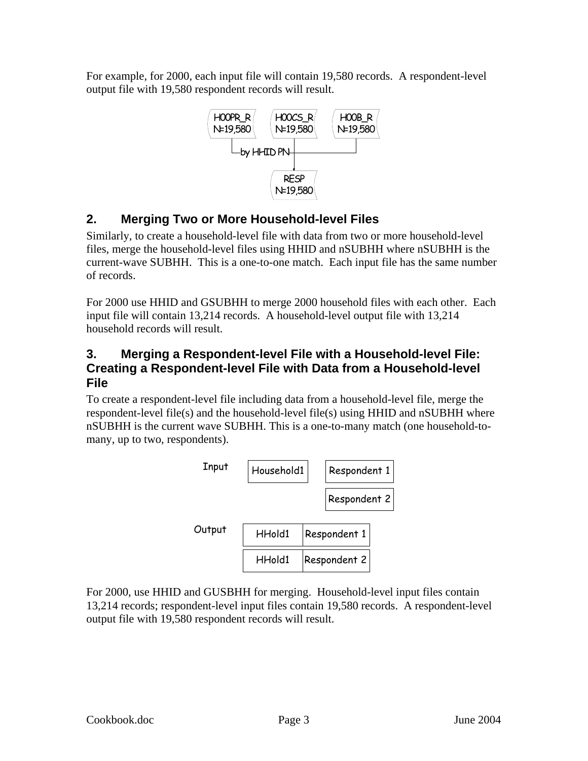<span id="page-4-0"></span>For example, for 2000, each input file will contain 19,580 records. A respondent-level output file with 19,580 respondent records will result.



## **2. Merging Two or More Household-level Files**

Similarly, to create a household-level file with data from two or more household-level files, merge the household-level files using HHID and nSUBHH where nSUBHH is the current-wave SUBHH. This is a one-to-one match. Each input file has the same number of records.

For 2000 use HHID and GSUBHH to merge 2000 household files with each other. Each input file will contain 13,214 records. A household-level output file with 13,214 household records will result.

### **3. Merging a Respondent-level File with a Household-level File: Creating a Respondent-level File with Data from a Household-level File**

To create a respondent-level file including data from a household-level file, merge the respondent-level file(s) and the household-level file(s) using HHID and nSUBHH where nSUBHH is the current wave SUBHH. This is a one-to-many match (one household-tomany, up to two, respondents).



For 2000, use HHID and GUSBHH for merging. Household-level input files contain 13,214 records; respondent-level input files contain 19,580 records. A respondent-level output file with 19,580 respondent records will result.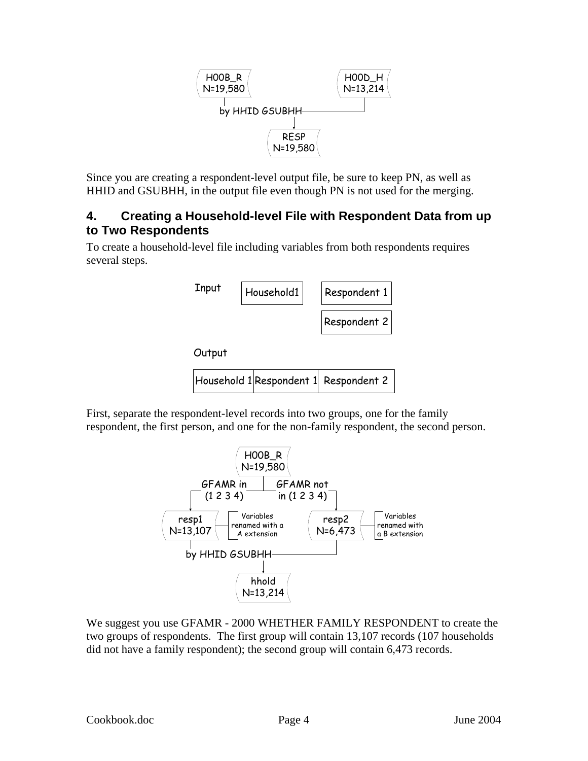

<span id="page-5-0"></span>Since you are creating a respondent-level output file, be sure to keep PN, as well as HHID and GSUBHH, in the output file even though PN is not used for the merging.

### **4. Creating a Household-level File with Respondent Data from up to Two Respondents**

To create a household-level file including variables from both respondents requires several steps.



First, separate the respondent-level records into two groups, one for the family respondent, the first person, and one for the non-family respondent, the second person.



We suggest you use GFAMR - 2000 WHETHER FAMILY RESPONDENT to create the two groups of respondents. The first group will contain 13,107 records (107 households did not have a family respondent); the second group will contain 6,473 records.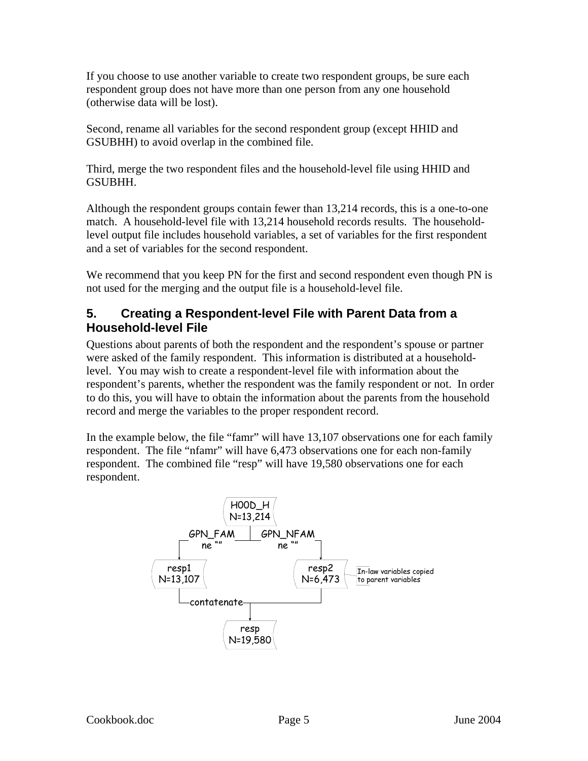<span id="page-6-0"></span>If you choose to use another variable to create two respondent groups, be sure each respondent group does not have more than one person from any one household (otherwise data will be lost).

Second, rename all variables for the second respondent group (except HHID and GSUBHH) to avoid overlap in the combined file.

Third, merge the two respondent files and the household-level file using HHID and GSUBHH.

Although the respondent groups contain fewer than 13,214 records, this is a one-to-one match. A household-level file with 13,214 household records results. The householdlevel output file includes household variables, a set of variables for the first respondent and a set of variables for the second respondent.

We recommend that you keep PN for the first and second respondent even though PN is not used for the merging and the output file is a household-level file.

#### **5. Creating a Respondent-level File with Parent Data from a Household-level File**

Questions about parents of both the respondent and the respondent's spouse or partner were asked of the family respondent. This information is distributed at a householdlevel. You may wish to create a respondent-level file with information about the respondent's parents, whether the respondent was the family respondent or not. In order to do this, you will have to obtain the information about the parents from the household record and merge the variables to the proper respondent record.

In the example below, the file "famr" will have 13,107 observations one for each family respondent. The file "nfamr" will have 6,473 observations one for each non-family respondent. The combined file "resp" will have 19,580 observations one for each respondent.

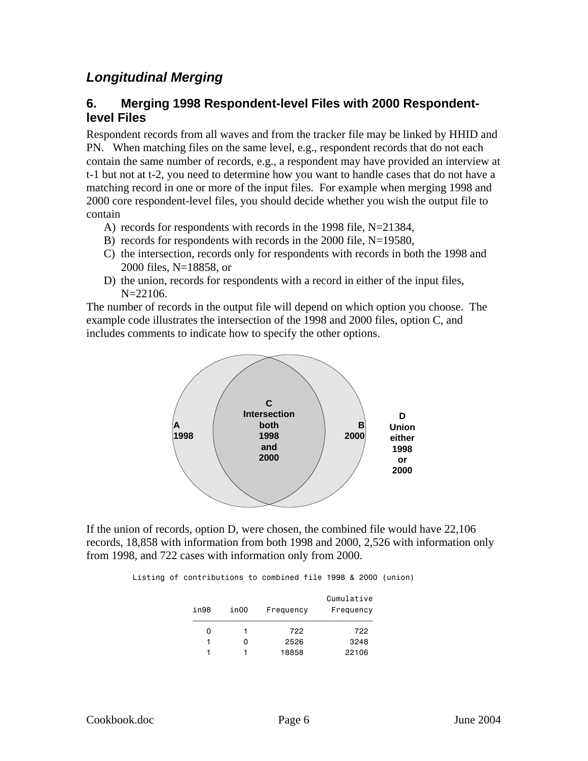## <span id="page-7-0"></span>*Longitudinal Merging*

#### **6. Merging 1998 Respondent-level Files with 2000 Respondentlevel Files**

Respondent records from all waves and from the tracker file may be linked by HHID and PN. When matching files on the same level, e.g., respondent records that do not each contain the same number of records, e.g., a respondent may have provided an interview at t-1 but not at t-2, you need to determine how you want to handle cases that do not have a matching record in one or more of the input files. For example when merging 1998 and 2000 core respondent-level files, you should decide whether you wish the output file to contain

- A) records for respondents with records in the 1998 file, N=21384,
- B) records for respondents with records in the 2000 file, N=19580,
- C) the intersection, records only for respondents with records in both the 1998 and 2000 files, N=18858, or
- D) the union, records for respondents with a record in either of the input files, N=22106.

The number of records in the output file will depend on which option you choose. The example code illustrates the intersection of the 1998 and 2000 files, option C, and includes comments to indicate how to specify the other options.



If the union of records, option D, were chosen, the combined file would have 22,106 records, 18,858 with information from both 1998 and 2000, 2,526 with information only from 1998, and 722 cases with information only from 2000.

Listing of contributions to combined file 1998 & 2000 (union)

| in98 | in00 | Frequency | Cumulative<br>Frequency |
|------|------|-----------|-------------------------|
| 0    |      | 722       | 722                     |
|      | 0    | 2526      | 3248                    |
|      |      | 18858     | 22106                   |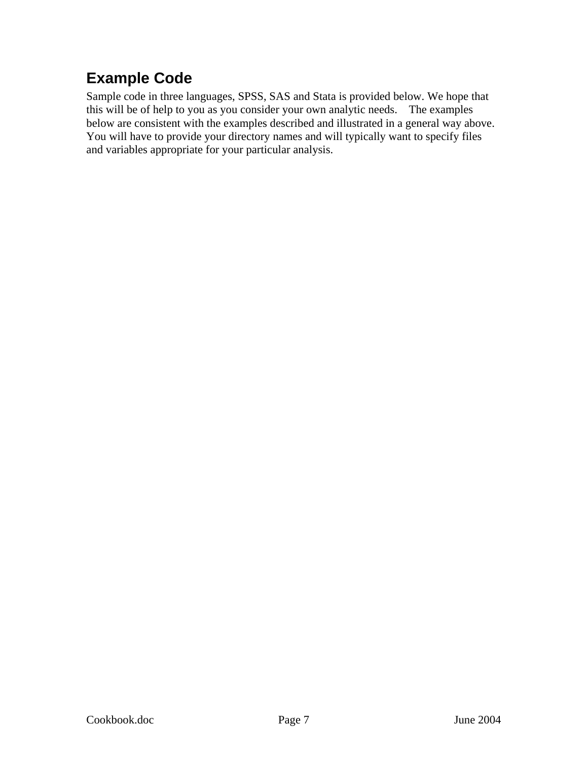# <span id="page-8-0"></span>**Example Code**

Sample code in three languages, SPSS, SAS and Stata is provided below. We hope that this will be of help to you as you consider your own analytic needs. The examples below are consistent with the examples described and illustrated in a general way above. You will have to provide your directory names and will typically want to specify files and variables appropriate for your particular analysis.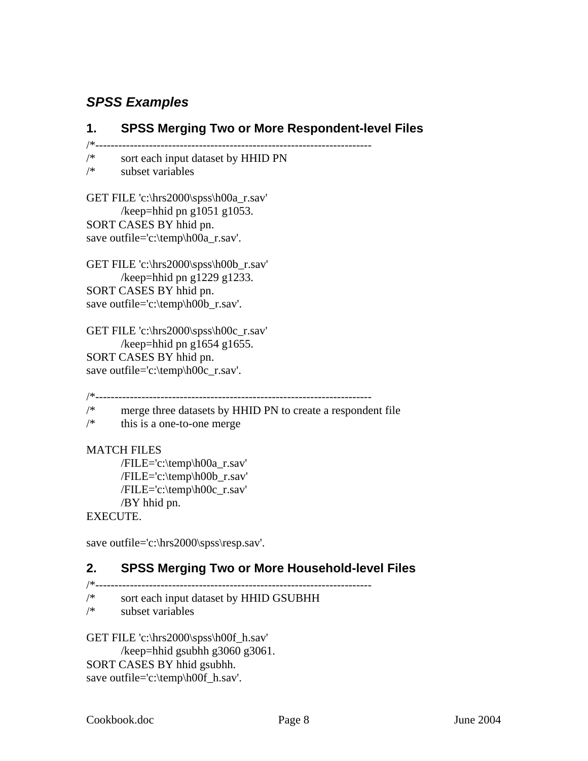## <span id="page-9-0"></span>*SPSS Examples*

### **1. SPSS Merging Two or More Respondent-level Files**

/\*------------------------------------------------------------------------

/\* sort each input dataset by HHID PN<br>  $/$ \* subset variables subset variables

GET FILE 'c:\hrs2000\spss\h00a\_r.sav' /keep=hhid pn g $1051$  g $1053$ . SORT CASES BY hhid pn. save outfile='c:\temp\h00a\_r.sav'.

GET FILE 'c:\hrs2000\spss\h00b\_r.sav' /keep=hhid pn g $1229$  g $1233$ . SORT CASES BY hhid pn. save outfile='c:\temp\h00b\_r.sav'.

GET FILE 'c:\hrs2000\spss\h00c\_r.sav' /keep=hhid pn g $1654$  g $1655$ . SORT CASES BY hhid pn. save outfile='c:\temp\h00c\_r.sav'.

/\*------------------------------------------------------------------------

/\* merge three datasets by HHID PN to create a respondent file

 $/*$  this is a one-to-one merge

#### MATCH FILES

 /FILE='c:\temp\h00a\_r.sav' /FILE='c:\temp\h00b\_r.sav' /FILE='c:\temp\h00c\_r.sav' /BY hhid pn.

#### EXECUTE.

save outfile='c:\hrs2000\spss\resp.sav'.

### **2. SPSS Merging Two or More Household-level Files**

- 
- /\*----------------------------------------------------------------------- sort each input dataset by HHID GSUBHH
- /\* subset variables

GET FILE 'c:\hrs2000\spss\h00f\_h.sav' /keep=hhid gsubhh g3060 g3061. SORT CASES BY hhid gsubhh. save outfile='c:\temp\h00f\_h.sav'.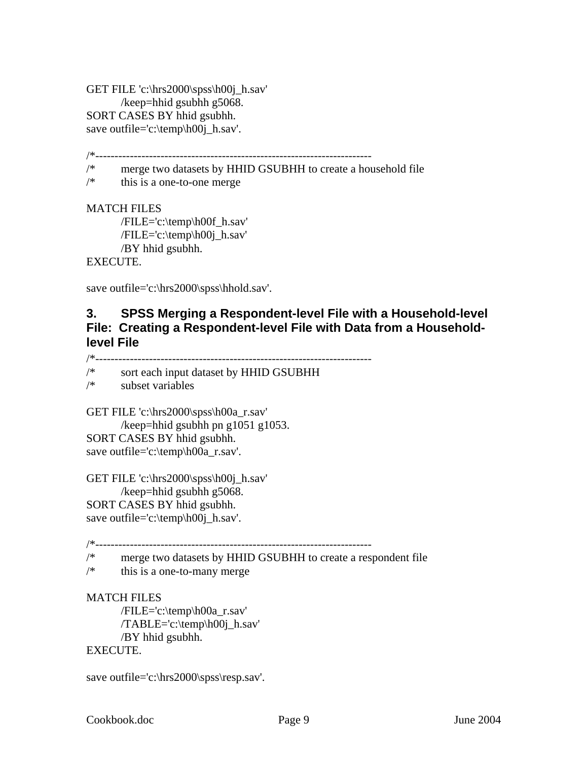<span id="page-10-0"></span>GET FILE 'c:\hrs2000\spss\h00j\_h.sav' /keep=hhid gsubhh g5068. SORT CASES BY hhid gsubhh. save outfile='c:\temp\h00j\_h.sav'.

/\*------------------------------------------------------------------------

/\* merge two datasets by HHID GSUBHH to create a household file

 $/*$  this is a one-to-one merge

MATCH FILES

 /FILE='c:\temp\h00f\_h.sav' /FILE='c:\temp\h00j\_h.sav' /BY hhid gsubhh.

EXECUTE.

save outfile='c:\hrs2000\spss\hhold.sav'.

#### **3. SPSS Merging a Respondent-level File with a Household-level File: Creating a Respondent-level File with Data from a Householdlevel File**

/\*------------------------------------------------------------------------

sort each input dataset by HHID GSUBHH

/\* subset variables

GET FILE 'c:\hrs2000\spss\h00a\_r.sav'

/keep=hhid gsubhh pn g1051 g1053. SORT CASES BY hhid gsubhh. save outfile='c:\temp\h00a\_r.sav'.

GET FILE 'c:\hrs2000\spss\h00j\_h.sav' /keep=hhid gsubhh g5068. SORT CASES BY hhid gsubhh. save outfile='c:\temp\h00j\_h.sav'.

/\*------------------------------------------------------------------------

/\* merge two datasets by HHID GSUBHH to create a respondent file

 $/*$  this is a one-to-many merge

#### MATCH FILES

 /FILE='c:\temp\h00a\_r.sav' /TABLE='c:\temp\h00j\_h.sav' /BY hhid gsubhh. EXECUTE.

save outfile='c:\hrs2000\spss\resp.sav'.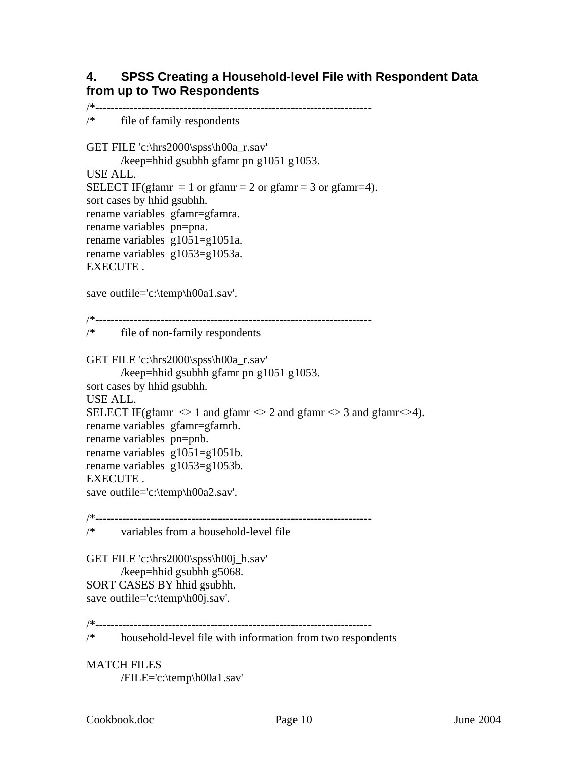#### <span id="page-11-0"></span>**4. SPSS Creating a Household-level File with Respondent Data from up to Two Respondents**

/\*------------------------------------------------------------------------ /\* file of family respondents GET FILE 'c:\hrs2000\spss\h00a\_r.sav' /keep=hhid gsubhh gfamr pn g1051 g1053. USE ALL. SELECT IF(gfamr = 1 or gfamr = 2 or gfamr = 3 or gfamr=4). sort cases by hhid gsubhh. rename variables gfamr=gfamra. rename variables pn=pna. rename variables g1051=g1051a. rename variables g1053=g1053a. **EXECUTE** save outfile='c:\temp\h00a1.sav'. /\*------------------------------------------------------------------------ /\* file of non-family respondents GET FILE 'c:\hrs2000\spss\h00a\_r.sav' /keep=hhid gsubhh gfamr pn g1051 g1053. sort cases by hhid gsubhh. USE ALL. SELECT IF(gfamr  $\langle 1 \rangle$  and gfamr  $\langle 2 \rangle$  and gfamr  $\langle 3 \rangle$  and gfamr  $\langle 3 \rangle$ . rename variables gfamr=gfamrb. rename variables pn=pnb. rename variables g1051=g1051b. rename variables g1053=g1053b. EXECUTE . save outfile='c:\temp\h00a2.sav'. /\*------------------------------------------------------------------------ /\* variables from a household-level file GET FILE 'c:\hrs2000\spss\h00j\_h.sav' /keep=hhid gsubhh g5068. SORT CASES BY hhid gsubhh. save outfile='c:\temp\h00j.sav'. /\*----------------------------------------------------------------------- household-level file with information from two respondents

MATCH FILES /FILE='c:\temp\h00a1.sav'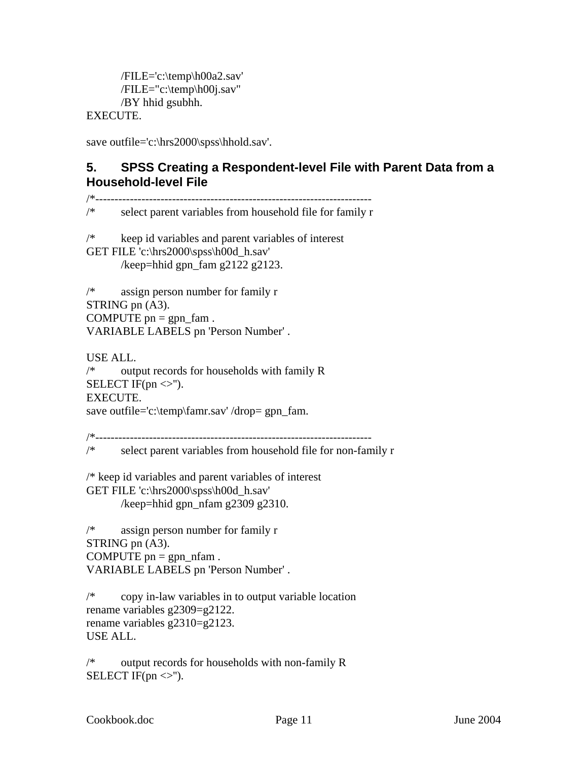```
 /FILE='c:\temp\h00a2.sav'
 /FILE="c:\temp\h00j.sav" 
/BY hhid gsubhh.
```
EXECUTE.

save outfile='c:\hrs2000\spss\hhold.sav'.

#### **5. SPSS Creating a Respondent-level File with Parent Data from a Household-level File**

/\*----------------------------------------------------------------------- select parent variables from household file for family r /\* keep id variables and parent variables of interest GET FILE 'c:\hrs2000\spss\h00d\_h.sav' /keep=hhid gpn  $f$ am g2122 g2123. /\* assign person number for family r STRING pn (A3). COMPUTE  $pn = gpn_fam$ . VARIABLE LABELS pn 'Person Number' . USE ALL. /\* output records for households with family R SELECT IF(pn  $\ll$ "). EXECUTE. save outfile='c:\temp\famr.sav' /drop= gpn\_fam. /\*------------------------------------------------------------------------ /\* select parent variables from household file for non-family r /\* keep id variables and parent variables of interest GET FILE 'c:\hrs2000\spss\h00d\_h.sav' /keep=hhid gpn\_nfam g2309 g2310. /\* assign person number for family r STRING pn (A3). COMPUTE  $pn = gpn$  nfam. VARIABLE LABELS pn 'Person Number' . /\* copy in-law variables in to output variable location rename variables g2309=g2122. rename variables g2310=g2123. USE ALL.

/\* output records for households with non-family R SELECT IF(pn  $\ll$ ").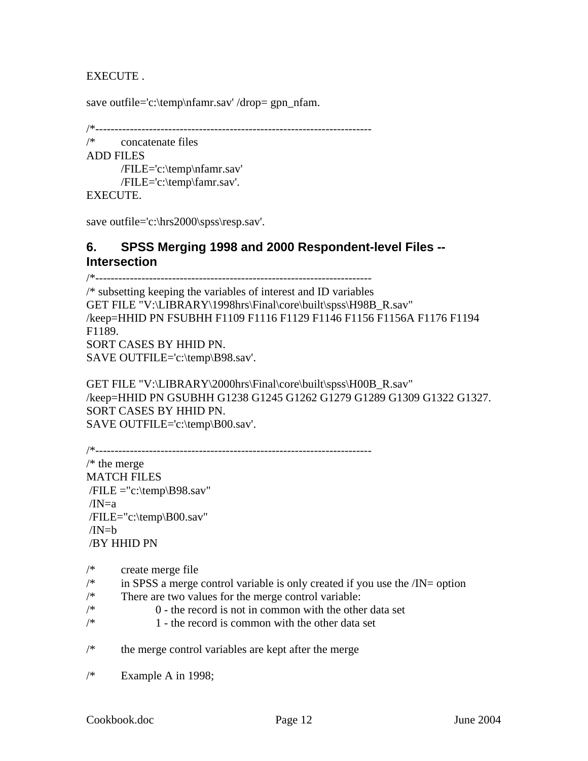<span id="page-13-0"></span>EXECUTE .

save outfile='c:\temp\nfamr.sav' /drop= gpn\_nfam.

/\*------------------------------------------------------------------------

```
/* concatenate files 
ADD FILES 
        /FILE='c:\temp\nfamr.sav'
        /FILE='c:\temp\famr.sav'.
```
EXECUTE.

save outfile='c:\hrs2000\spss\resp.sav'.

#### **6. SPSS Merging 1998 and 2000 Respondent-level Files -- Intersection**

/\*------------------------------------------------------------------------ /\* subsetting keeping the variables of interest and ID variables GET FILE "V:\LIBRARY\1998hrs\Final\core\built\spss\H98B\_R.sav" /keep=HHID PN FSUBHH F1109 F1116 F1129 F1146 F1156 F1156A F1176 F1194 F1189. SORT CASES BY HHID PN. SAVE OUTFILE='c:\temp\B98.sav'.

GET FILE "V:\LIBRARY\2000hrs\Final\core\built\spss\H00B\_R.sav" /keep=HHID PN GSUBHH G1238 G1245 G1262 G1279 G1289 G1309 G1322 G1327. SORT CASES BY HHID PN. SAVE OUTFILE='c:\temp\B00.sav'.

```
/*------------------------------------------------------------------------ 
/* the merge
MATCH FILES 
/FILE = "c:\temp\BB98.sav"/IN=a /FILE="c:\temp\B00.sav" 
/IN=h /BY HHID PN
```
- /\* create merge file
- $\frac{1}{*}$  in SPSS a merge control variable is only created if you use the  $\frac{1}{N}$ = option
- /\* There are two values for the merge control variable:
- $\frac{1}{\sqrt{2}}$  0 the record is not in common with the other data set
- $\frac{1}{\sqrt{2}}$  1 the record is common with the other data set
- /\* the merge control variables are kept after the merge
- $/*$  Example A in 1998;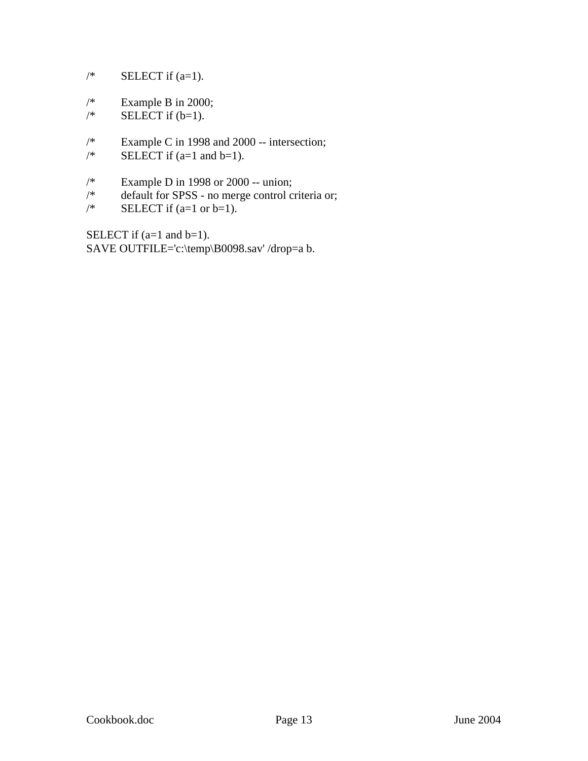- $/*$  SELECT if  $(a=1)$ .
- $/*$  Example B in 2000;
- $\frac{\text{PELECT if (b=1)}}{1}$ .
- /\* Example C in 1998 and 2000 -- intersection;<br>
/\* SELECT if  $(a=1 \text{ and } b=1)$ .
- SELECT if  $(a=1 \text{ and } b=1)$ .
- <sup>/\*</sup> Example D in 1998 or 2000 -- union;<br> $/$ <sup>\*</sup> default for SPSS no merge control co
- default for SPSS no merge control criteria or;
- $\frac{\text{SELECT}}{1}$  (a=1 or b=1).

SELECT if (a=1 and b=1). SAVE OUTFILE='c:\temp\B0098.sav' /drop=a b.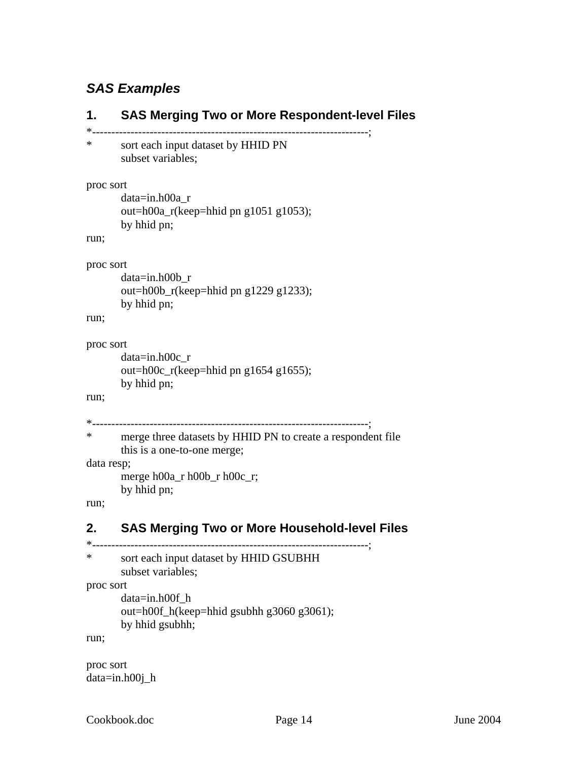## <span id="page-15-0"></span>*SAS Examples*

```
1. SAS Merging Two or More Respondent-level Files 
*------------------------------------------------------------------------; 
* sort each input dataset by HHID PN 
        subset variables; 
proc sort 
        data=in.h00a_r 
       out=h00a_r(keep=hhid pn g1051 g1053); 
       by hhid pn; 
run; 
proc sort 
        data=in.h00b_r 
       out=h00b_r(keep=hhid pn g1229 g1233); 
       by hhid pn; 
run; 
proc sort 
        data=in.h00c_r 
       out=h00c_r(keep=hhid pn g1654 g1655); 
       by hhid pn; 
run; 
*------------------------------------------------------------------------; 
* merge three datasets by HHID PN to create a respondent file 
       this is a one-to-one merge; 
data resp; 
       merge h00a_r h00b_r h00c_r; 
       by hhid pn; 
run; 
2. SAS Merging Two or More Household-level Files
*------------------------------------------------------------------------; 
* sort each input dataset by HHID GSUBHH 
        subset variables; 
proc sort 
        data=in.h00f_h 
       out=h00f_h(keep=hhid gsubhh g3060 g3061); 
       by hhid gsubhh;
```
run;

proc sort data=in.h00j\_h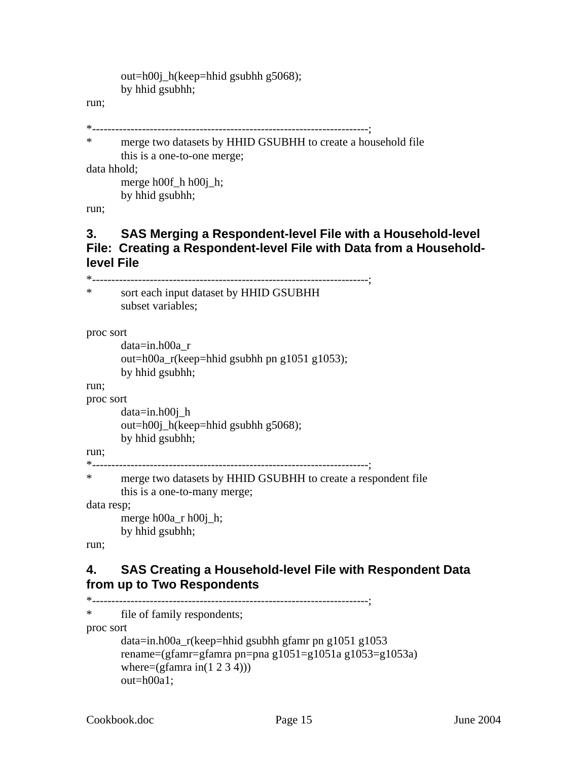```
out=h00j_h(keep=hhid gsubhh g5068); 
by hhid gsubhh;
```
<span id="page-16-0"></span>run;

```
*------------------------------------------------------------------------;
```
\* merge two datasets by HHID GSUBHH to create a household file this is a one-to-one merge; data hhold;

merge h00f h h00j h; by hhid gsubhh;

run;

### **3. SAS Merging a Respondent-level File with a Household-level File: Creating a Respondent-level File with Data from a Householdlevel File**

\*------------------------------------------------------------------------; \* sort each input dataset by HHID GSUBHH subset variables; proc sort data=in.h00a\_r out=h00a\_r(keep=hhid gsubhh pn g1051 g1053); by hhid gsubhh; run; proc sort data=in.h00j\_h out=h00j\_h(keep=hhid gsubhh g5068); by hhid gsubhh; run; \*------------------------------------------------------------------------; \* merge two datasets by HHID GSUBHH to create a respondent file this is a one-to-many merge; data resp; merge h00a\_r h00j\_h; by hhid gsubhh; run;

### **4. SAS Creating a Household-level File with Respondent Data from up to Two Respondents**

```
*------------------------------------------------------------------------; 
* file of family respondents; 
proc sort 
       data=in.h00a r(keep=hhid gsubhh gfamr pn g1051 g1053
       rename=(gfamr=gfamra pn=pna g1051=g1051a g1053=g1053a) 
       where=(gfamra in(1 2 3 4)))
        out=h00a1;
```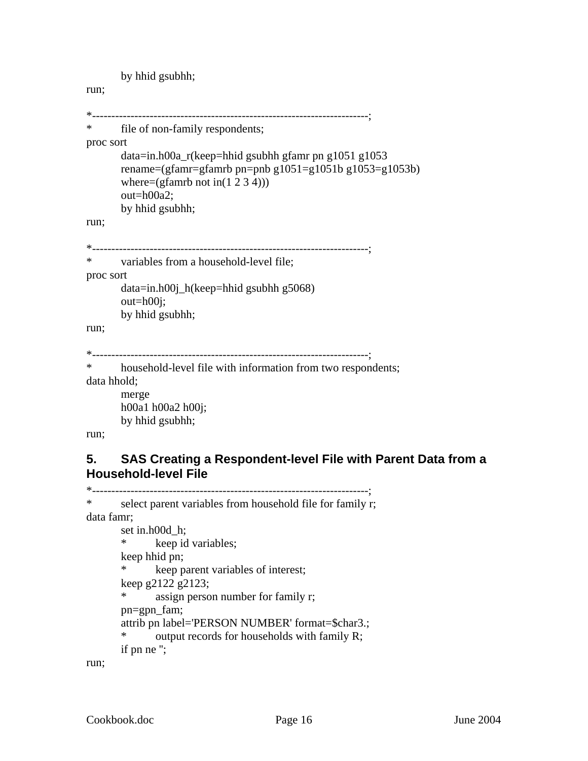by hhid gsubhh;

#### <span id="page-17-0"></span>run;

```
*------------------------------------------------------------------------; 
* file of non-family respondents; 
proc sort 
       data=in.h00a_r(keep=hhid gsubhh gfamr pn g1051 g1053 
       rename=(gfamr=gfamrb pn=pnb g1051=g1051b g1053=g1053b) 
       where=(gfamrb not in(1 2 3 4)) out=h00a2; 
       by hhid gsubhh; 
run; 
   *------------------------------------------------------------------------; 
* variables from a household-level file; 
proc sort 
       data=in.h00j_h(keep=hhid gsubhh g5068) 
        out=h00j; 
       by hhid gsubhh; 
run; 
*------------------------------------------------------------------------; 
* household-level file with information from two respondents; 
data hhold; 
        merge
       h00a1 h00a2 h00j; 
       by hhid gsubhh;
```
run;

## **5. SAS Creating a Respondent-level File with Parent Data from a Household-level File**

```
*------------------------------------------------------------------------; 
* select parent variables from household file for family r; 
data famr; 
       set in.h00d_h;<br>* keep id
              keep id variables;
       keep hhid pn; 
        * keep parent variables of interest; 
       keep g2122 g2123; 
       * assign person number for family r; 
        pn=gpn_fam; 
       attrib pn label='PERSON NUMBER' format=$char3.; 
       * output records for households with family R; 
       if pn ne '';
```
run;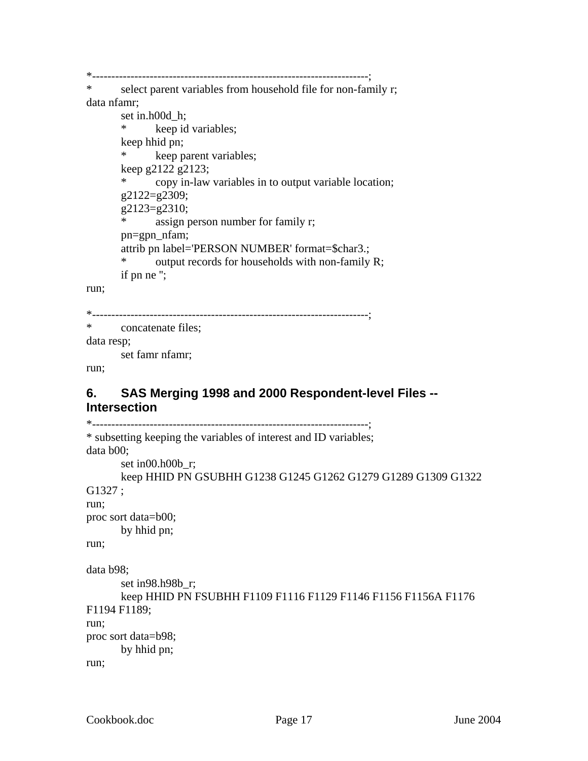<span id="page-18-0"></span>\*------------------------------------------------------------------------;

\* select parent variables from household file for non-family r; data nfamr;

```
 set in.h00d_h; 
* keep id variables; 
keep hhid pn; 
 * keep parent variables; 
keep g2122 g2123; 
       copy in-law variables in to output variable location;
 g2122=g2309; 
 g2123=g2310; 
* assign person number for family r; 
 pn=gpn_nfam; 
attrib pn label='PERSON NUMBER' format=$char3.; 
* output records for households with non-family R; 
if pn ne '';
```
run;

```
*------------------------------------------------------------------------;
```
\* concatenate files;

data resp;

set famr nfamr;

run;

## **6. SAS Merging 1998 and 2000 Respondent-level Files -- Intersection**

```
*------------------------------------------------------------------------; 
* subsetting keeping the variables of interest and ID variables; 
data b00; 
       set in00.h00b_r;
       keep HHID PN GSUBHH G1238 G1245 G1262 G1279 G1289 G1309 G1322 
G1327 ; 
run; 
proc sort data=b00; 
       by hhid pn; 
run; 
data b98; 
        set in98.h98b_r; 
       keep HHID PN FSUBHH F1109 F1116 F1129 F1146 F1156 F1156A F1176 
F1194 F1189; 
run; 
proc sort data=b98; 
       by hhid pn; 
run;
```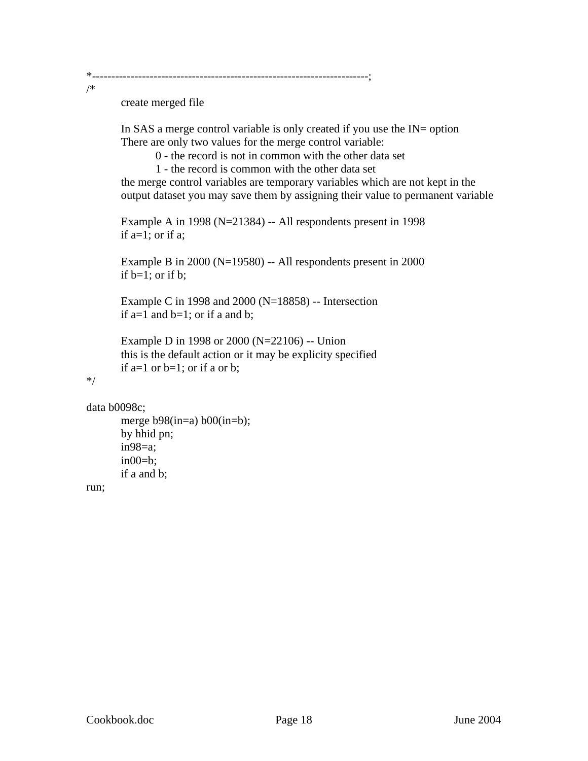\*------------------------------------------------------------------------;

create merged file

In SAS a merge control variable is only created if you use the IN= option There are only two values for the merge control variable:

0 - the record is not in common with the other data set

1 - the record is common with the other data set

the merge control variables are temporary variables which are not kept in the output dataset you may save them by assigning their value to permanent variable

Example A in 1998 (N=21384) -- All respondents present in 1998 if  $a=1$ ; or if  $a$ ;

Example B in 2000 (N=19580) -- All respondents present in 2000 if  $b=1$ ; or if b;

Example C in 1998 and 2000 (N=18858) -- Intersection if  $a=1$  and  $b=1$ ; or if a and  $b$ ;

```
Example D in 1998 or 2000 (N=22106) -- Union 
this is the default action or it may be explicity specified 
if a=1 or b=1; or if a or b;
```

```
*/
```
/\*

```
data b0098c;
```

```
merge b98(in=a) b00(in=b);
by hhid pn; 
 in98=a; 
in00=b;if a and b;
```
run;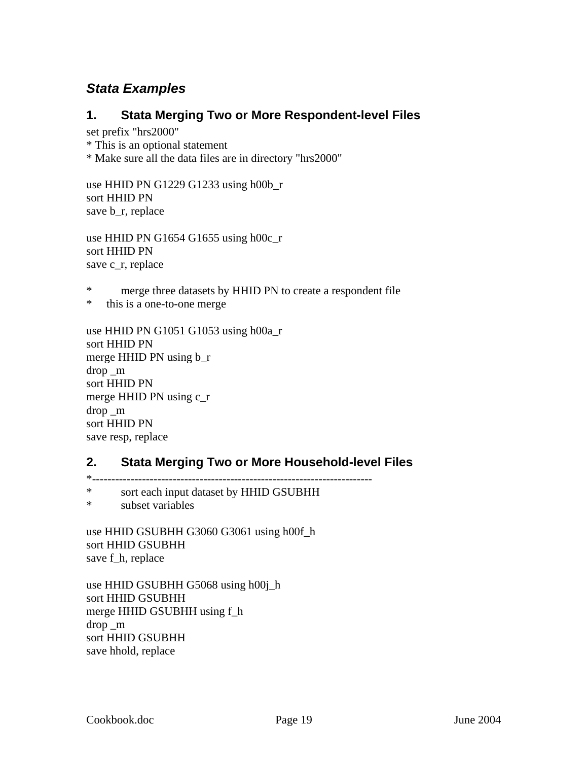## <span id="page-20-0"></span>*Stata Examples*

#### **1. Stata Merging Two or More Respondent-level Files**

set prefix "hrs2000"

\* This is an optional statement

\* Make sure all the data files are in directory "hrs2000"

use HHID PN G1229 G1233 using h00b\_r sort HHID PN save b\_r, replace

use HHID PN G1654 G1655 using h00c\_r sort HHID PN save c\_r, replace

\* merge three datasets by HHID PN to create a respondent file

\* this is a one-to-one merge

use HHID PN G1051 G1053 using h00a\_r sort HHID PN merge HHID PN using b\_r drop \_m sort HHID PN merge HHID PN using c\_r drop \_m sort HHID PN save resp, replace

#### **2. Stata Merging Two or More Household-level Files**

 $*$  ---------------

\* sort each input dataset by HHID GSUBHH

\* subset variables

use HHID GSUBHH G3060 G3061 using h00f\_h sort HHID GSUBHH save f\_h, replace

use HHID GSUBHH G5068 using h00j\_h sort HHID GSUBHH merge HHID GSUBHH using f\_h drop \_m sort HHID GSUBHH save hhold, replace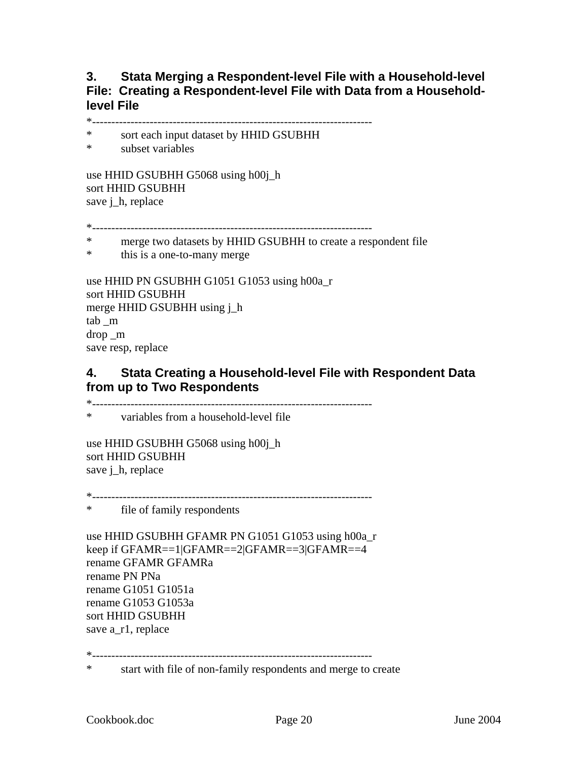#### <span id="page-21-0"></span>**3. Stata Merging a Respondent-level File with a Household-level File: Creating a Respondent-level File with Data from a Householdlevel File**

\*-------------------------------------------------------------------------

- \* sort each input dataset by HHID GSUBHH
- \* subset variables

use HHID GSUBHH G5068 using h00j\_h sort HHID GSUBHH save *j* h, replace

\*-------------------------------------------------------------------------

- \* merge two datasets by HHID GSUBHH to create a respondent file
- \* this is a one-to-many merge

use HHID PN GSUBHH G1051 G1053 using h00a\_r sort HHID GSUBHH merge HHID GSUBHH using j\_h tab \_m drop \_m save resp, replace

#### **4. Stata Creating a Household-level File with Respondent Data from up to Two Respondents**

\*-------------------------------------------------------------------------

\* variables from a household-level file

use HHID GSUBHH G5068 using h00j\_h sort HHID GSUBHH save j\_h, replace

\*-------------------------------------------------------------------------

\* file of family respondents

use HHID GSUBHH GFAMR PN G1051 G1053 using h00a\_r keep if GFAMR==1|GFAMR==2|GFAMR==3|GFAMR==4 rename GFAMR GFAMRa rename PN PNa rename G1051 G1051a rename G1053 G1053a sort HHID GSUBHH save a\_r1, replace

\*-------------------------------------------------------------------------

\* start with file of non-family respondents and merge to create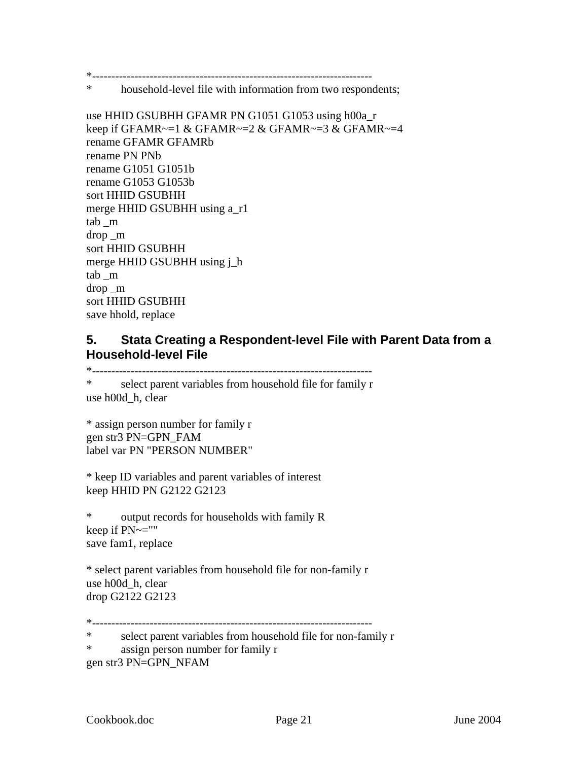<span id="page-22-0"></span>\*-------------------------------------------------------------------------

\* household-level file with information from two respondents;

use HHID GSUBHH GFAMR PN G1051 G1053 using h00a\_r keep if GFAMR~=1 & GFAMR~=2 & GFAMR~=3 & GFAMR~=4 rename GFAMR GFAMRb rename PN PNb rename G1051 G1051b rename G1053 G1053b sort HHID GSUBHH merge HHID GSUBHH using a\_r1 tab \_m drop \_m sort HHID GSUBHH merge HHID GSUBHH using j\_h tab \_m drop \_m sort HHID GSUBHH save hhold, replace

#### **5. Stata Creating a Respondent-level File with Parent Data from a Household-level File**

\*-------------------------------------------------------------------------

\* select parent variables from household file for family r use h00d\_h, clear

```
* assign person number for family r 
gen str3 PN=GPN_FAM 
label var PN "PERSON NUMBER"
```

```
* keep ID variables and parent variables of interest 
keep HHID PN G2122 G2123
```
\* output records for households with family R keep if PN~="" save fam1, replace

\* select parent variables from household file for non-family r use h00d\_h, clear drop G2122 G2123

\*-------------------------------------------------------------------------

\* select parent variables from household file for non-family r

```
* assign person number for family r
```

```
gen str3 PN=GPN_NFAM
```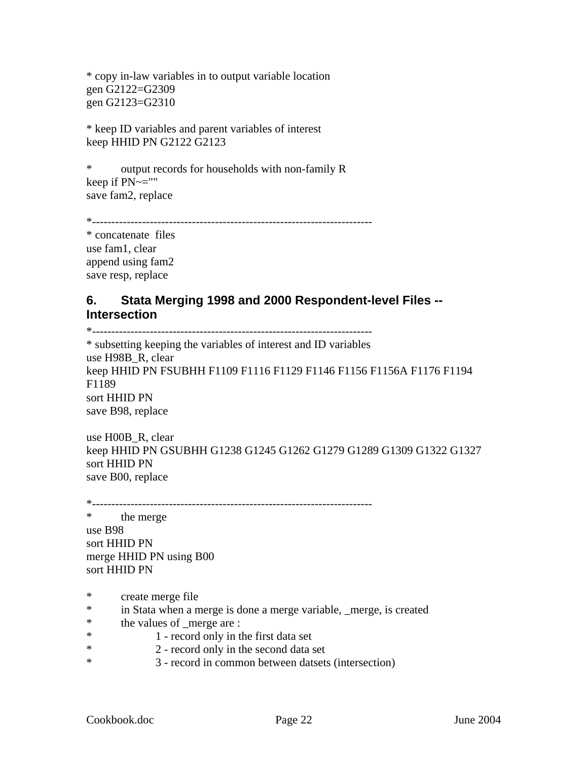<span id="page-23-0"></span>\* copy in-law variables in to output variable location gen G2122=G2309 gen G2123=G2310

\* keep ID variables and parent variables of interest keep HHID PN G2122 G2123

\* output records for households with non-family R keep if PN~="" save fam2, replace

```
*-------------------------------------------------------------------------
```
\* concatenate files use fam1, clear append using fam2 save resp, replace

## **6. Stata Merging 1998 and 2000 Respondent-level Files -- Intersection**

\*-------------------------------------------------------------------------

\* subsetting keeping the variables of interest and ID variables use H98B\_R, clear keep HHID PN FSUBHH F1109 F1116 F1129 F1146 F1156 F1156A F1176 F1194 F1189 sort HHID PN save B98, replace

use H00B\_R, clear keep HHID PN GSUBHH G1238 G1245 G1262 G1279 G1289 G1309 G1322 G1327 sort HHID PN save B00, replace

\*-------------------------------------------------------------------------

\* the merge use B98 sort HHID PN merge HHID PN using B00 sort HHID PN

- \* create merge file
- \* in Stata when a merge is done a merge variable, \_merge, is created
- \* the values of \_merge are :
- \* 1 record only in the first data set
- \* 2 record only in the second data set
- \* 3 record in common between datsets (intersection)